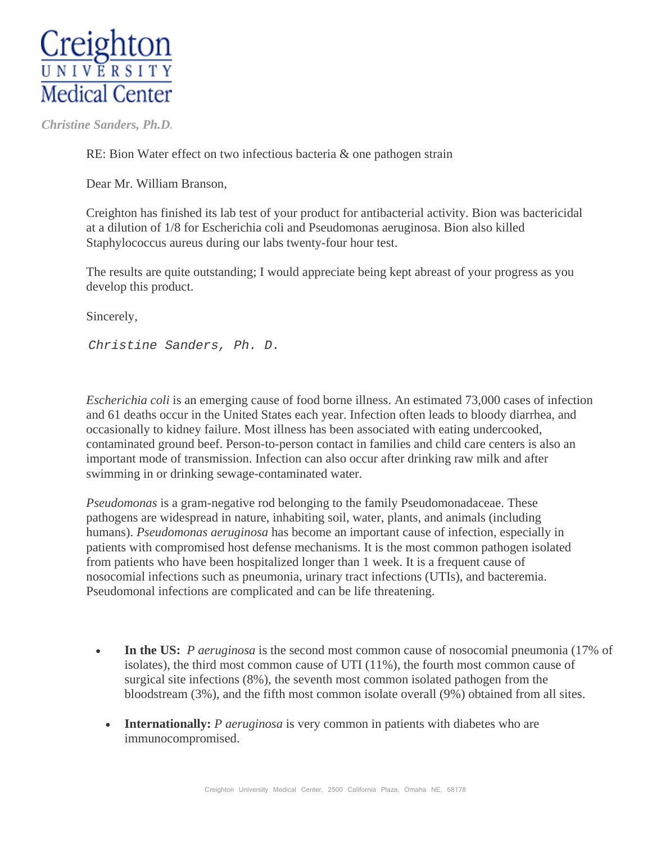

 *Christine Sanders, Ph.D.* 

RE: Bion Water effect on two infectious bacteria & one pathogen strain

Dear Mr. William Branson,

Creighton has finished its lab test of your product for antibacterial activity. Bion was bactericidal at a dilution of 1/8 for Escherichia coli and Pseudomonas aeruginosa. Bion also killed Staphylococcus aureus during our labs twenty-four hour test.

The results are quite outstanding; I would appreciate being kept abreast of your progress as you develop this product.

Sincerely,

*Christine Sanders, Ph. D.* 

*Escherichia coli* is an emerging cause of food borne illness. An estimated 73,000 cases of infection and 61 deaths occur in the United States each year. Infection often leads to bloody diarrhea, and occasionally to kidney failure. Most illness has been associated with eating undercooked, contaminated ground beef. Person-to-person contact in families and child care centers is also an important mode of transmission. Infection can also occur after drinking raw milk and after swimming in or drinking sewage-contaminated water.

*Pseudomonas* is a gram-negative rod belonging to the family Pseudomonadaceae. These pathogens are widespread in nature, inhabiting soil, water, plants, and animals (including humans). *Pseudomonas aeruginosa* has become an important cause of infection, especially in patients with compromised host defense mechanisms. It is the most common pathogen isolated from patients who have been hospitalized longer than 1 week. It is a frequent cause of nosocomial infections such as pneumonia, urinary tract infections (UTIs), and bacteremia. Pseudomonal infections are complicated and can be life threatening.

- In the US: *P aeruginosa* is the second most common cause of nosocomial pneumonia (17% of isolates), the third most common cause of UTI (11%), the fourth most common cause of surgical site infections (8%), the seventh most common isolated pathogen from the bloodstream (3%), and the fifth most common isolate overall (9%) obtained from all sites.
	- **Internationally:** *P aeruginosa* is very common in patients with diabetes who are immunocompromised.